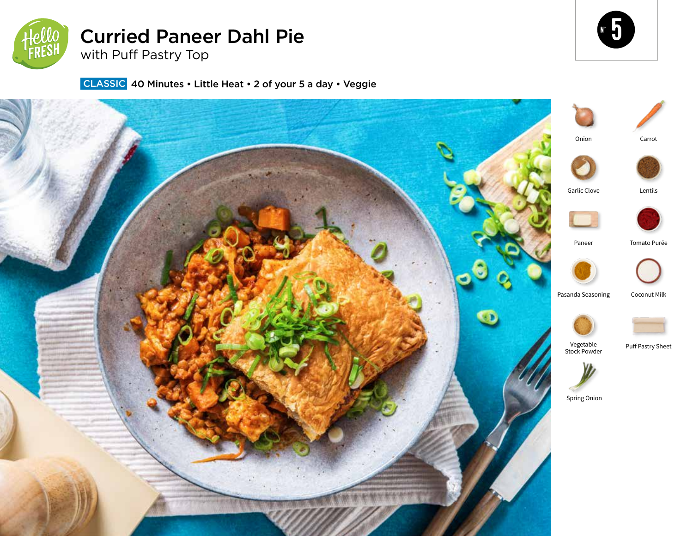

# Curried Paneer Dahl Pie

with Puff Pastry Top



**CLASSIC** 40 Minutes • Little Heat • 2 of your 5 a day • Veggie